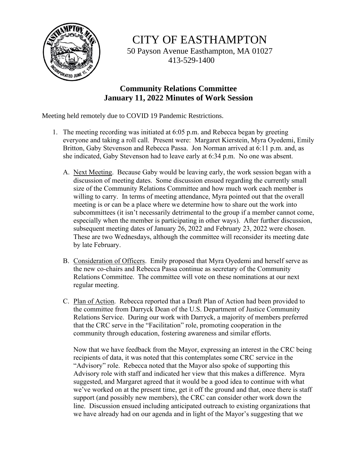

CITY OF EASTHAMPTON

50 Payson Avenue Easthampton, MA 01027 413-529-1400

## **Community Relations Committee January 11, 2022 Minutes of Work Session**

Meeting held remotely due to COVID 19 Pandemic Restrictions.

- 1. The meeting recording was initiated at 6:05 p.m. and Rebecca began by greeting everyone and taking a roll call. Present were: Margaret Kierstein, Myra Oyedemi, Emily Britton, Gaby Stevenson and Rebecca Passa. Jon Norman arrived at 6:11 p.m. and, as she indicated, Gaby Stevenson had to leave early at 6:34 p.m. No one was absent.
	- A. Next Meeting. Because Gaby would be leaving early, the work session began with a discussion of meeting dates. Some discussion ensued regarding the currently small size of the Community Relations Committee and how much work each member is willing to carry. In terms of meeting attendance, Myra pointed out that the overall meeting is or can be a place where we determine how to share out the work into subcommittees (it isn't necessarily detrimental to the group if a member cannot come, especially when the member is participating in other ways). After further discussion, subsequent meeting dates of January 26, 2022 and February 23, 2022 were chosen. These are two Wednesdays, although the committee will reconsider its meeting date by late February.
	- B. Consideration of Officers. Emily proposed that Myra Oyedemi and herself serve as the new co-chairs and Rebecca Passa continue as secretary of the Community Relations Committee. The committee will vote on these nominations at our next regular meeting.
	- C. Plan of Action. Rebecca reported that a Draft Plan of Action had been provided to the committee from Darryck Dean of the U.S. Department of Justice Community Relations Service. During our work with Darryck, a majority of members preferred that the CRC serve in the "Facilitation" role, promoting cooperation in the community through education, fostering awareness and similar efforts.

Now that we have feedback from the Mayor, expressing an interest in the CRC being recipients of data, it was noted that this contemplates some CRC service in the "Advisory" role. Rebecca noted that the Mayor also spoke of supporting this Advisory role with staff and indicated her view that this makes a difference. Myra suggested, and Margaret agreed that it would be a good idea to continue with what we've worked on at the present time, get it off the ground and that, once there is staff support (and possibly new members), the CRC can consider other work down the line. Discussion ensued including anticipated outreach to existing organizations that we have already had on our agenda and in light of the Mayor's suggesting that we